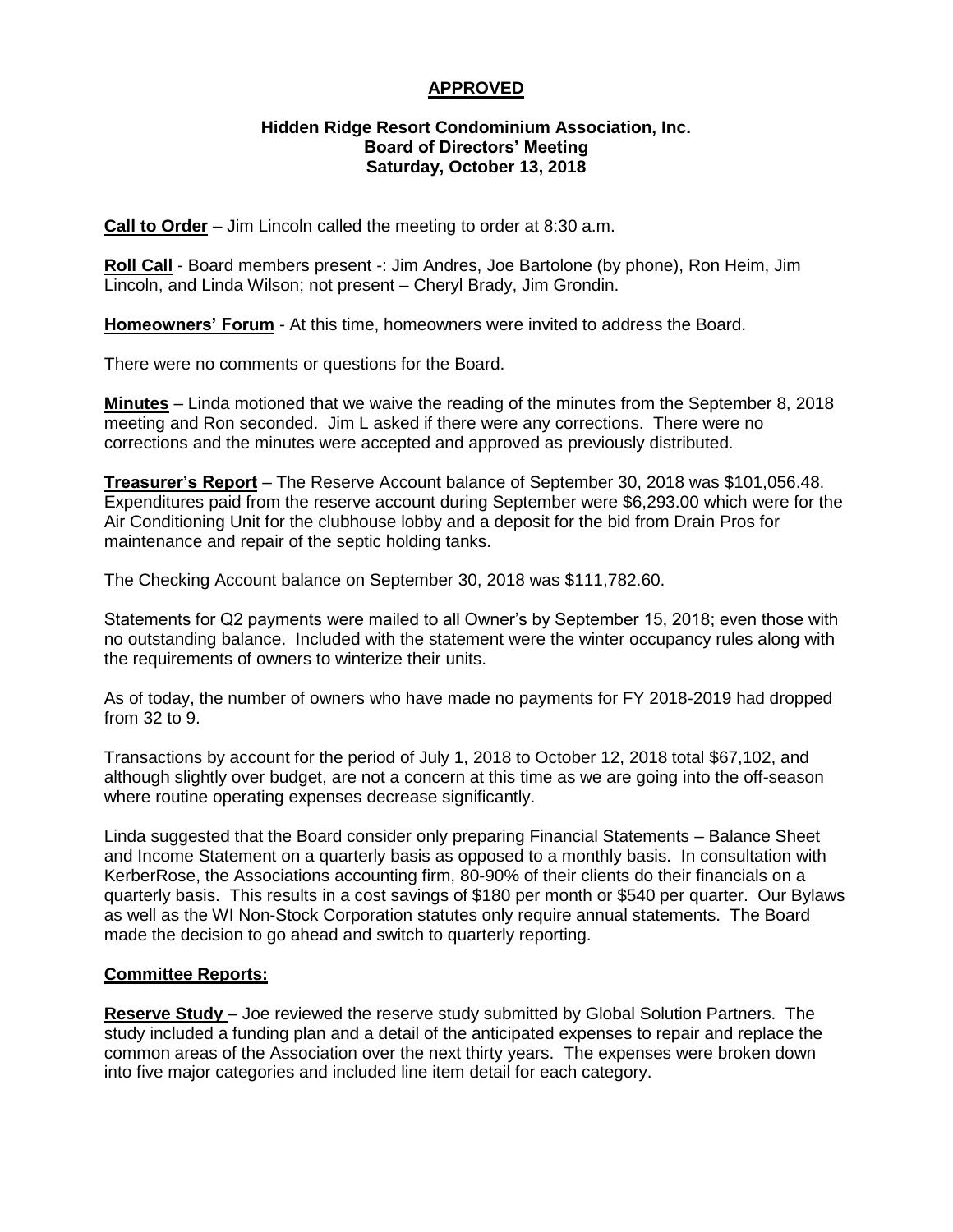## **APPROVED**

#### **Hidden Ridge Resort Condominium Association, Inc. Board of Directors' Meeting Saturday, October 13, 2018**

**Call to Order** – Jim Lincoln called the meeting to order at 8:30 a.m.

Roll Call - Board members present -: Jim Andres, Joe Bartolone (by phone), Ron Heim, Jim Lincoln, and Linda Wilson; not present – Cheryl Brady, Jim Grondin.

**Homeowners' Forum** - At this time, homeowners were invited to address the Board.

There were no comments or questions for the Board.

**Minutes** – Linda motioned that we waive the reading of the minutes from the September 8, 2018 meeting and Ron seconded. Jim L asked if there were any corrections. There were no corrections and the minutes were accepted and approved as previously distributed.

**Treasurer's Report** – The Reserve Account balance of September 30, 2018 was \$101,056.48. Expenditures paid from the reserve account during September were \$6,293.00 which were for the Air Conditioning Unit for the clubhouse lobby and a deposit for the bid from Drain Pros for maintenance and repair of the septic holding tanks.

The Checking Account balance on September 30, 2018 was \$111,782.60.

Statements for Q2 payments were mailed to all Owner's by September 15, 2018; even those with no outstanding balance. Included with the statement were the winter occupancy rules along with the requirements of owners to winterize their units.

As of today, the number of owners who have made no payments for FY 2018-2019 had dropped from 32 to 9.

Transactions by account for the period of July 1, 2018 to October 12, 2018 total \$67,102, and although slightly over budget, are not a concern at this time as we are going into the off-season where routine operating expenses decrease significantly.

Linda suggested that the Board consider only preparing Financial Statements – Balance Sheet and Income Statement on a quarterly basis as opposed to a monthly basis. In consultation with KerberRose, the Associations accounting firm, 80-90% of their clients do their financials on a quarterly basis. This results in a cost savings of \$180 per month or \$540 per quarter. Our Bylaws as well as the WI Non-Stock Corporation statutes only require annual statements. The Board made the decision to go ahead and switch to quarterly reporting.

### **Committee Reports:**

**Reserve Study** – Joe reviewed the reserve study submitted by Global Solution Partners. The study included a funding plan and a detail of the anticipated expenses to repair and replace the common areas of the Association over the next thirty years. The expenses were broken down into five major categories and included line item detail for each category.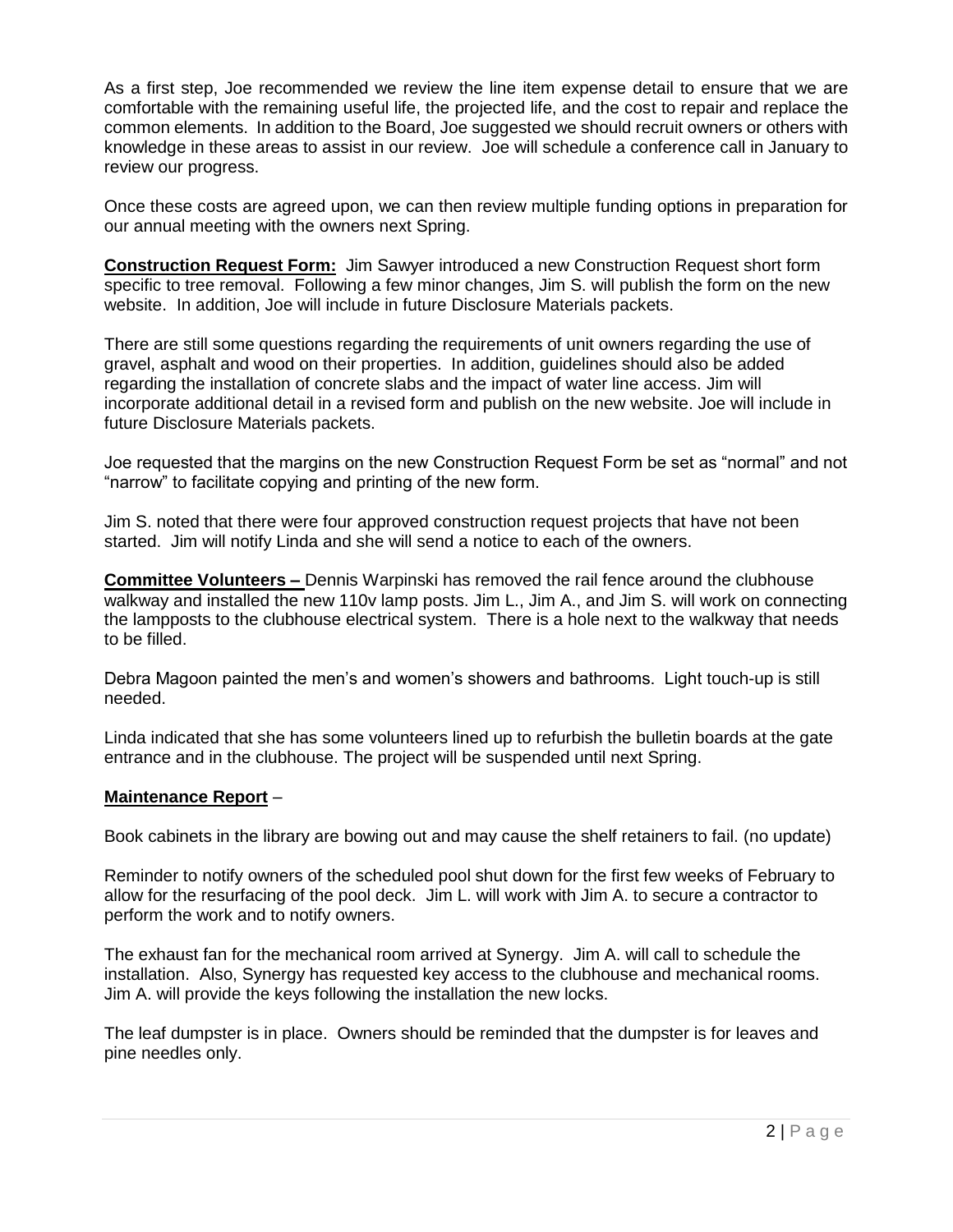As a first step, Joe recommended we review the line item expense detail to ensure that we are comfortable with the remaining useful life, the projected life, and the cost to repair and replace the common elements. In addition to the Board, Joe suggested we should recruit owners or others with knowledge in these areas to assist in our review. Joe will schedule a conference call in January to review our progress.

Once these costs are agreed upon, we can then review multiple funding options in preparation for our annual meeting with the owners next Spring.

**Construction Request Form:** Jim Sawyer introduced a new Construction Request short form specific to tree removal. Following a few minor changes, Jim S. will publish the form on the new website. In addition, Joe will include in future Disclosure Materials packets.

There are still some questions regarding the requirements of unit owners regarding the use of gravel, asphalt and wood on their properties. In addition, guidelines should also be added regarding the installation of concrete slabs and the impact of water line access. Jim will incorporate additional detail in a revised form and publish on the new website. Joe will include in future Disclosure Materials packets.

Joe requested that the margins on the new Construction Request Form be set as "normal" and not "narrow" to facilitate copying and printing of the new form.

Jim S. noted that there were four approved construction request projects that have not been started. Jim will notify Linda and she will send a notice to each of the owners.

**Committee Volunteers –** Dennis Warpinski has removed the rail fence around the clubhouse walkway and installed the new 110v lamp posts. Jim L., Jim A., and Jim S. will work on connecting the lampposts to the clubhouse electrical system. There is a hole next to the walkway that needs to be filled.

Debra Magoon painted the men's and women's showers and bathrooms. Light touch-up is still needed.

Linda indicated that she has some volunteers lined up to refurbish the bulletin boards at the gate entrance and in the clubhouse. The project will be suspended until next Spring.

#### **Maintenance Report** –

Book cabinets in the library are bowing out and may cause the shelf retainers to fail. (no update)

Reminder to notify owners of the scheduled pool shut down for the first few weeks of February to allow for the resurfacing of the pool deck. Jim L. will work with Jim A. to secure a contractor to perform the work and to notify owners.

The exhaust fan for the mechanical room arrived at Synergy. Jim A. will call to schedule the installation. Also, Synergy has requested key access to the clubhouse and mechanical rooms. Jim A. will provide the keys following the installation the new locks.

The leaf dumpster is in place. Owners should be reminded that the dumpster is for leaves and pine needles only.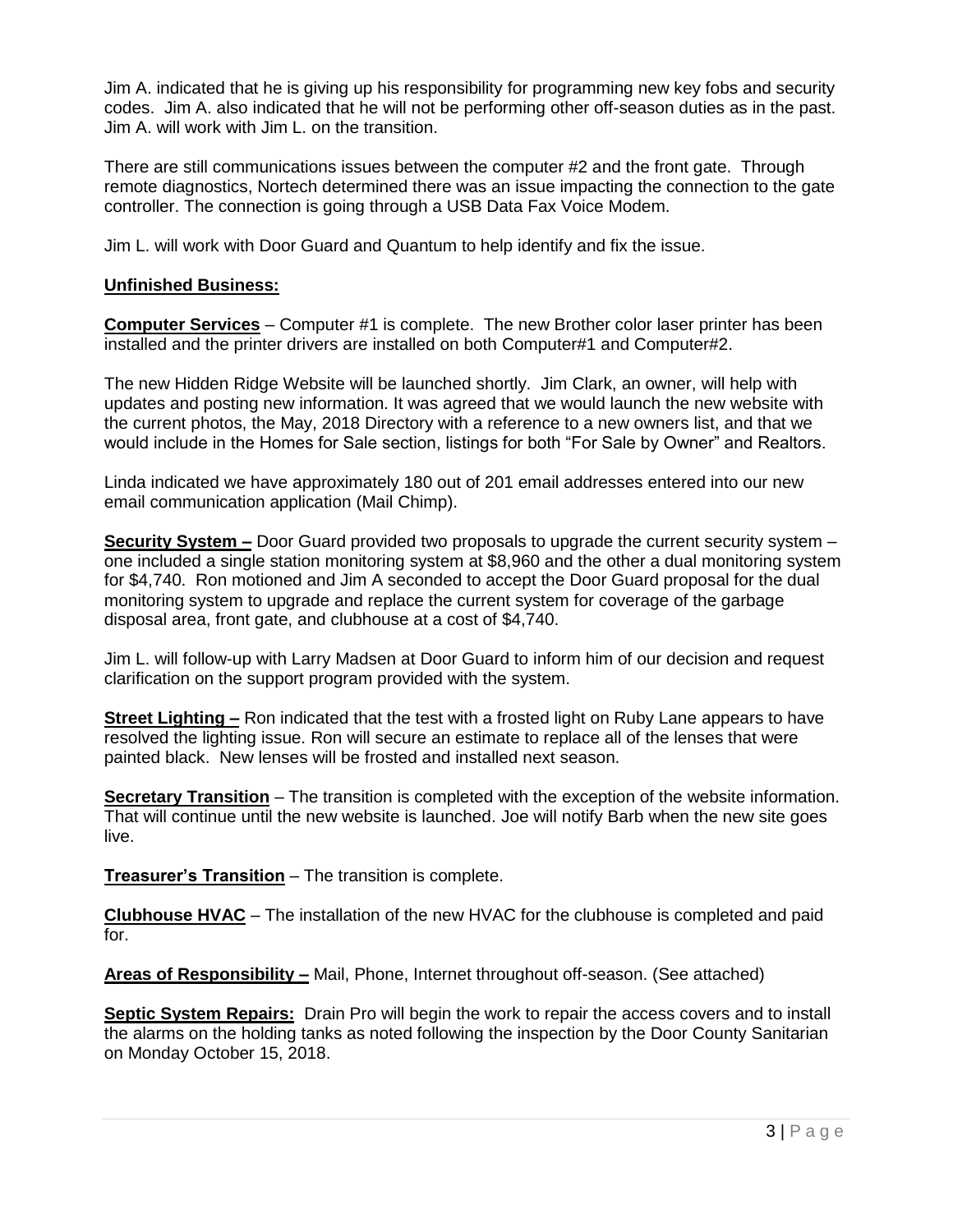Jim A. indicated that he is giving up his responsibility for programming new key fobs and security codes. Jim A. also indicated that he will not be performing other off-season duties as in the past. Jim A. will work with Jim L. on the transition.

There are still communications issues between the computer #2 and the front gate. Through remote diagnostics, Nortech determined there was an issue impacting the connection to the gate controller. The connection is going through a USB Data Fax Voice Modem.

Jim L. will work with Door Guard and Quantum to help identify and fix the issue.

### **Unfinished Business:**

**Computer Services** – Computer #1 is complete. The new Brother color laser printer has been installed and the printer drivers are installed on both Computer#1 and Computer#2.

The new Hidden Ridge Website will be launched shortly. Jim Clark, an owner, will help with updates and posting new information. It was agreed that we would launch the new website with the current photos, the May, 2018 Directory with a reference to a new owners list, and that we would include in the Homes for Sale section, listings for both "For Sale by Owner" and Realtors.

Linda indicated we have approximately 180 out of 201 email addresses entered into our new email communication application (Mail Chimp).

**Security System –** Door Guard provided two proposals to upgrade the current security system – one included a single station monitoring system at \$8,960 and the other a dual monitoring system for \$4,740. Ron motioned and Jim A seconded to accept the Door Guard proposal for the dual monitoring system to upgrade and replace the current system for coverage of the garbage disposal area, front gate, and clubhouse at a cost of \$4,740.

Jim L. will follow-up with Larry Madsen at Door Guard to inform him of our decision and request clarification on the support program provided with the system.

**Street Lighting –** Ron indicated that the test with a frosted light on Ruby Lane appears to have resolved the lighting issue. Ron will secure an estimate to replace all of the lenses that were painted black. New lenses will be frosted and installed next season.

**Secretary Transition** – The transition is completed with the exception of the website information. That will continue until the new website is launched. Joe will notify Barb when the new site goes live.

**Treasurer's Transition** – The transition is complete.

**Clubhouse HVAC** – The installation of the new HVAC for the clubhouse is completed and paid for.

**Areas of Responsibility –** Mail, Phone, Internet throughout off-season. (See attached)

**Septic System Repairs:** Drain Pro will begin the work to repair the access covers and to install the alarms on the holding tanks as noted following the inspection by the Door County Sanitarian on Monday October 15, 2018.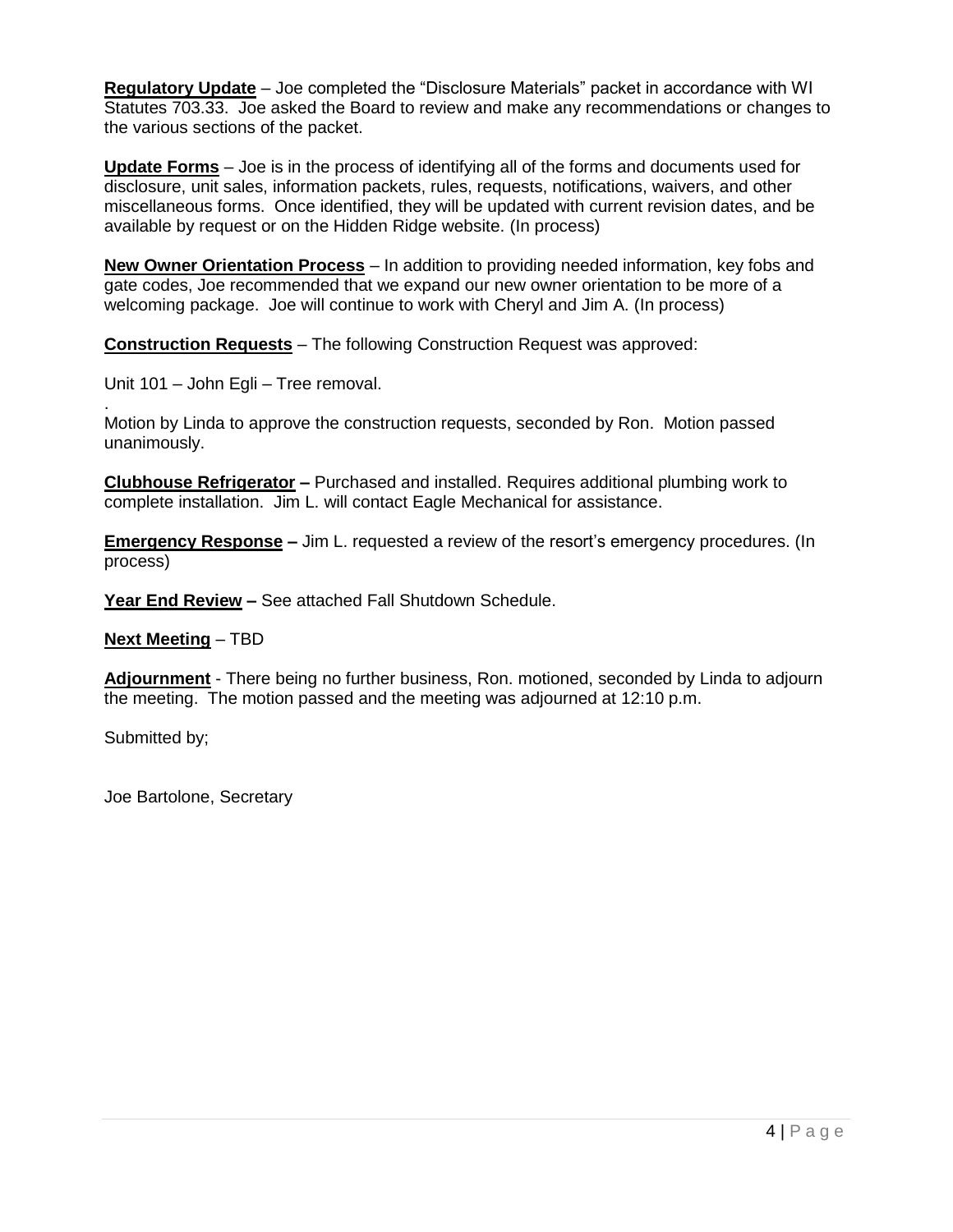**Regulatory Update** – Joe completed the "Disclosure Materials" packet in accordance with WI Statutes 703.33. Joe asked the Board to review and make any recommendations or changes to the various sections of the packet.

**Update Forms** – Joe is in the process of identifying all of the forms and documents used for disclosure, unit sales, information packets, rules, requests, notifications, waivers, and other miscellaneous forms. Once identified, they will be updated with current revision dates, and be available by request or on the Hidden Ridge website. (In process)

**New Owner Orientation Process** – In addition to providing needed information, key fobs and gate codes, Joe recommended that we expand our new owner orientation to be more of a welcoming package. Joe will continue to work with Cheryl and Jim A. (In process)

**Construction Requests** – The following Construction Request was approved:

Unit 101 – John Egli – Tree removal.

. Motion by Linda to approve the construction requests, seconded by Ron. Motion passed unanimously.

**Clubhouse Refrigerator –** Purchased and installed. Requires additional plumbing work to complete installation. Jim L. will contact Eagle Mechanical for assistance.

**Emergency Response –** Jim L. requested a review of the resort's emergency procedures. (In process)

**Year End Review –** See attached Fall Shutdown Schedule.

**Next Meeting** – TBD

**Adjournment** - There being no further business, Ron. motioned, seconded by Linda to adjourn the meeting. The motion passed and the meeting was adjourned at 12:10 p.m.

Submitted by;

Joe Bartolone, Secretary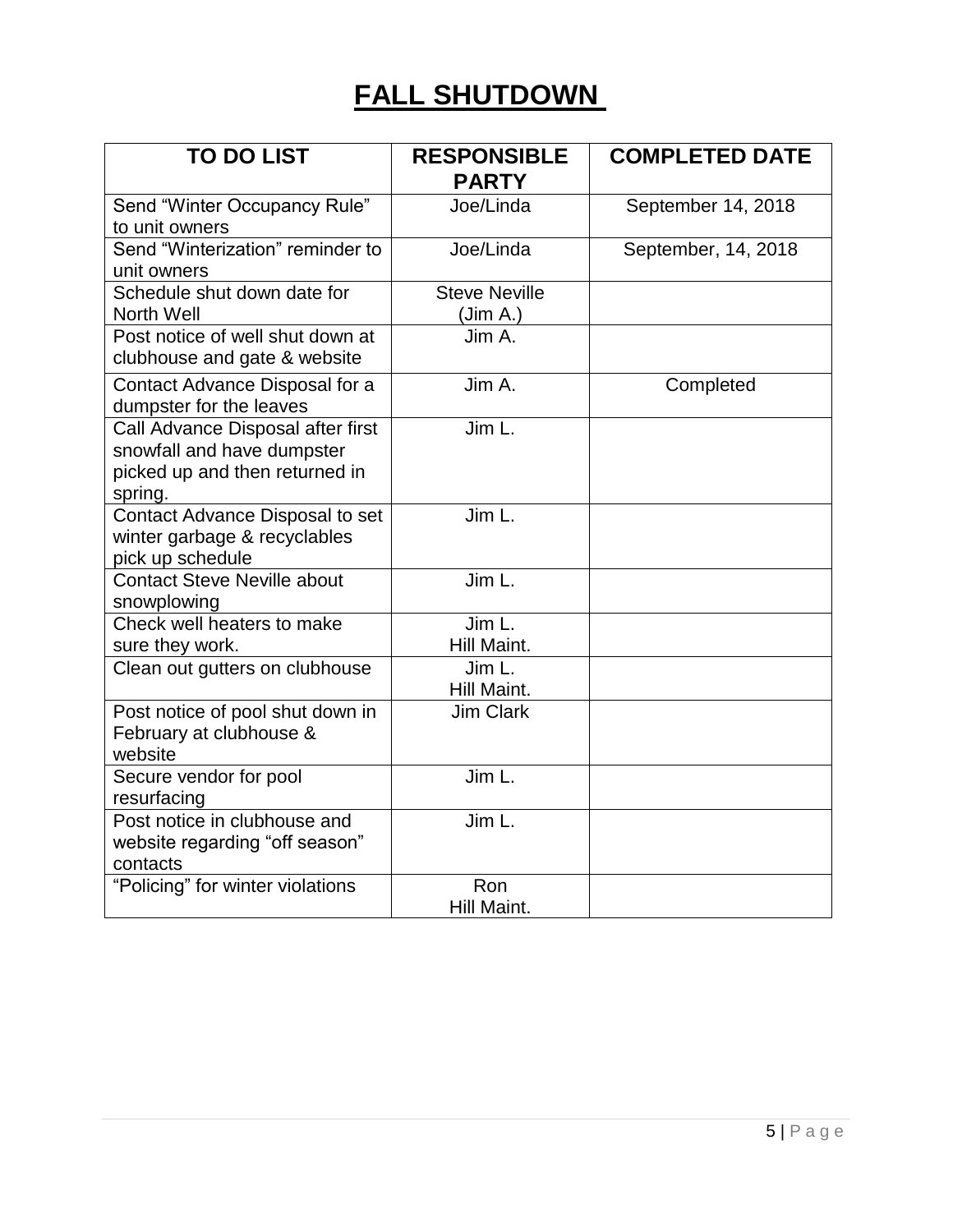# **FALL SHUTDOWN**

| <b>TO DO LIST</b>                                                                                            | <b>RESPONSIBLE</b><br><b>PARTY</b> | <b>COMPLETED DATE</b> |  |  |
|--------------------------------------------------------------------------------------------------------------|------------------------------------|-----------------------|--|--|
| Send "Winter Occupancy Rule"<br>to unit owners                                                               | Joe/Linda                          | September 14, 2018    |  |  |
| Send "Winterization" reminder to<br>unit owners                                                              | Joe/Linda                          | September, 14, 2018   |  |  |
| Schedule shut down date for<br>North Well                                                                    | <b>Steve Neville</b><br>(Jim A.)   |                       |  |  |
| Post notice of well shut down at<br>clubhouse and gate & website                                             | Jim A.                             |                       |  |  |
| Contact Advance Disposal for a<br>dumpster for the leaves                                                    | Jim A.                             | Completed             |  |  |
| Call Advance Disposal after first<br>snowfall and have dumpster<br>picked up and then returned in<br>spring. | Jim L.                             |                       |  |  |
| Contact Advance Disposal to set<br>winter garbage & recyclables<br>pick up schedule                          | Jim L.                             |                       |  |  |
| <b>Contact Steve Neville about</b><br>snowplowing                                                            | Jim L.                             |                       |  |  |
| Check well heaters to make<br>sure they work.                                                                | Jim L.<br>Hill Maint.              |                       |  |  |
| Clean out gutters on clubhouse                                                                               | Jim L.<br>Hill Maint.              |                       |  |  |
| Post notice of pool shut down in<br>February at clubhouse &<br>website                                       | <b>Jim Clark</b>                   |                       |  |  |
| Secure vendor for pool<br>resurfacing                                                                        | Jim L.                             |                       |  |  |
| Post notice in clubhouse and<br>website regarding "off season"<br>contacts                                   | Jim L.                             |                       |  |  |
| "Policing" for winter violations                                                                             | Ron<br>Hill Maint.                 |                       |  |  |